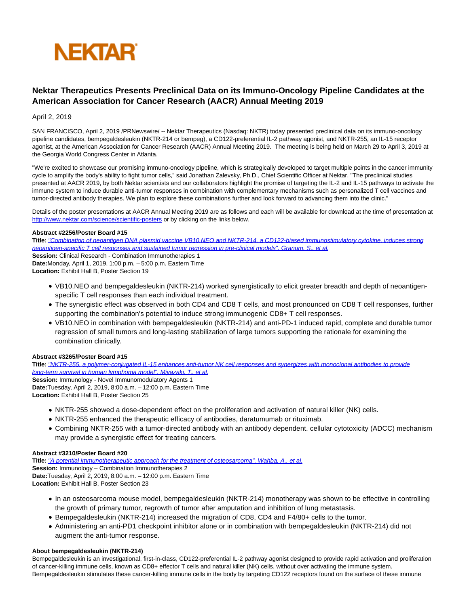

# **Nektar Therapeutics Presents Preclinical Data on its Immuno-Oncology Pipeline Candidates at the American Association for Cancer Research (AACR) Annual Meeting 2019**

April 2, 2019

SAN FRANCISCO, April 2, 2019 /PRNewswire/ -- Nektar Therapeutics (Nasdaq: NKTR) today presented preclinical data on its immuno-oncology pipeline candidates, bempegaldesleukin (NKTR-214 or bempeg), a CD122-preferential IL-2 pathway agonist, and NKTR-255, an IL-15 receptor agonist, at the American Association for Cancer Research (AACR) Annual Meeting 2019. The meeting is being held on March 29 to April 3, 2019 at the Georgia World Congress Center in Atlanta.

"We're excited to showcase our promising immuno-oncology pipeline, which is strategically developed to target multiple points in the cancer immunity cycle to amplify the body's ability to fight tumor cells," said Jonathan Zalevsky, Ph.D., Chief Scientific Officer at Nektar. "The preclinical studies presented at AACR 2019, by both Nektar scientists and our collaborators highlight the promise of targeting the IL-2 and IL-15 pathways to activate the immune system to induce durable anti-tumor responses in combination with complementary mechanisms such as personalized T cell vaccines and tumor-directed antibody therapies. We plan to explore these combinations further and look forward to advancing them into the clinic."

Details of the poster presentations at AACR Annual Meeting 2019 are as follows and each will be available for download at the time of presentation at [http://www.nektar.com/science/scientific-posters o](https://c212.net/c/link/?t=0&l=en&o=2422273-1&h=2080994262&u=http%3A%2F%2Fwww.nektar.com%2Fscience%2Fscientific-posters&a=http%3A%2F%2Fwww.nektar.com%2Fscience%2Fscientific-posters)r by clicking on the links below.

## **Abstract #2256/Poster Board #15**

**Title:** ["Combination of neoantigen DNA plasmid vaccine VB10.NEO and NKTR-214, a CD122-biased immunostimulatory cytokine, induces strong](https://c212.net/c/link/?t=0&l=en&o=2422273-1&h=3470493297&u=https%3A%2F%2Fwww.nektar.com%2Fdownload_file%2F662%2F0&a=%22Combination+of+neoantigen+DNA+plasmid+vaccine+VB10.NEO+and+NKTR-214%2C+a+CD122-biased+immunostimulatory+cytokine%2C+induces+strong+neoantigen-specific+T+cell+responses+and+sustained+tumor+regression+in+pre-clinical+models%22%2C+Granum%2C+S.%2C+et+al.) neoantigen-specific T cell responses and sustained tumor regression in pre-clinical models", Granum, S., et al. **Session:** Clinical Research - Combination Immunotherapies 1 **Date:**Monday, April 1, 2019, 1:00 p.m. – 5:00 p.m. Eastern Time **Location:** Exhibit Hall B, Poster Section 19

- VB10.NEO and bempegaldesleukin (NKTR-214) worked synergistically to elicit greater breadth and depth of neoantigenspecific T cell responses than each individual treatment.
- The synergistic effect was observed in both CD4 and CD8 T cells, and most pronounced on CD8 T cell responses, further supporting the combination's potential to induce strong immunogenic CD8+ T cell responses.
- VB10.NEO in combination with bempegaldesleukin (NKTR-214) and anti-PD-1 induced rapid, complete and durable tumor regression of small tumors and long-lasting stabilization of large tumors supporting the rationale for examining the combination clinically.

## **Abstract #3265/Poster Board #15**

**Title:** ["NKTR-255, a polymer-conjugated IL-15 enhances anti-tumor NK cell responses and synergizes with monoclonal antibodies to provide](https://c212.net/c/link/?t=0&l=en&o=2422273-1&h=603846546&u=https%3A%2F%2Fwww.nektar.com%2Fdownload_file%2F661%2F0&a=%22NKTR-255%2C+a+polymer-conjugated+IL-15+enhances+anti-tumor+NK+cell+responses+and+synergizes+with+monoclonal+antibodies+to+provide+long-term+survival+in+human+lymphoma+model%22%2C%C2%A0Miyazaki%2C+T.%2C+et+al.) long-term survival in human lymphoma model", Miyazaki, T., et al.

**Session:** Immunology - Novel Immunomodulatory Agents 1 **Date:**Tuesday, April 2, 2019, 8:00 a.m. – 12:00 p.m. Eastern Time **Location:** Exhibit Hall B, Poster Section 25

- NKTR-255 showed a dose-dependent effect on the proliferation and activation of natural killer (NK) cells.
- NKTR-255 enhanced the therapeutic efficacy of antibodies, daratumumab or rituximab.
- Combining NKTR-255 with a tumor-directed antibody with an antibody dependent. cellular cytotoxicity (ADCC) mechanism may provide a synergistic effect for treating cancers.

## **Abstract #3210/Poster Board #20**

**Title:** ["A potential immunotherapeutic approach for the treatment of osteosarcoma", Wahba, A., et al.](https://c212.net/c/link/?t=0&l=en&o=2422273-1&h=1179274157&u=https%3A%2F%2Fwww.nektar.com%2Fdownload_file%2F664%2F0&a=%22A+potential+immunotherapeutic+approach+for+the+treatment+of+osteosarcoma%22%2C+Wahba%2C+A.%2C+et+al.) **Session:** Immunology – Combination Immunotherapies 2 **Date:**Tuesday, April 2, 2019, 8:00 a.m. – 12:00 p.m. Eastern Time **Location:** Exhibit Hall B, Poster Section 23

- In an osteosarcoma mouse model, bempegaldesleukin (NKTR-214) monotherapy was shown to be effective in controlling the growth of primary tumor, regrowth of tumor after amputation and inhibition of lung metastasis.
- Bempegaldesleukin (NKTR-214) increased the migration of CD8, CD4 and F4/80+ cells to the tumor.
- Administering an anti-PD1 checkpoint inhibitor alone or in combination with bempegaldesleukin (NKTR-214) did not augment the anti-tumor response.

## **About bempegaldesleukin (NKTR-214)**

Bempegaldesleukin is an investigational, first-in-class, CD122-preferential IL-2 pathway agonist designed to provide rapid activation and proliferation of cancer-killing immune cells, known as CD8+ effector T cells and natural killer (NK) cells, without over activating the immune system. Bempegaldesleukin stimulates these cancer-killing immune cells in the body by targeting CD122 receptors found on the surface of these immune